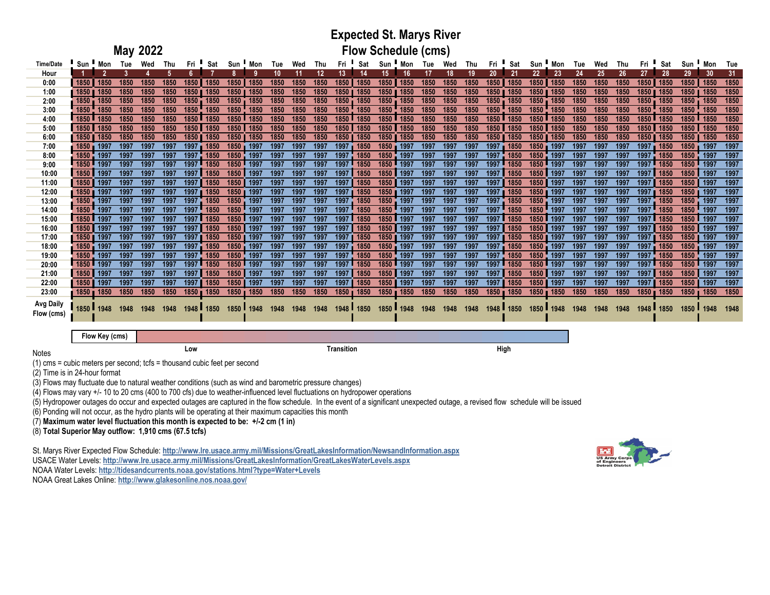## **Expected St. Marys River Flow Schedule (cms)**

| <b>Time/Date</b> | Sun !                 | Mon       | Tue  | Wed  | Thu  | Fri  | Sat       | Sun                   | Mon           | Tue  | Wed  | Thu  | Fri           | Sat         | Sun      | . ■ Mon   | Tue  | Wed  | Thu  | Fri                   | Sat       | Sun                   | Mon  | Tue  | Wed  | Thu  | Fri       | Sat    | Sun                   | Mon  | Tue  |
|------------------|-----------------------|-----------|------|------|------|------|-----------|-----------------------|---------------|------|------|------|---------------|-------------|----------|-----------|------|------|------|-----------------------|-----------|-----------------------|------|------|------|------|-----------|--------|-----------------------|------|------|
| Hour             |                       |           |      |      |      |      |           |                       |               | 10   |      | 12   | 13.           | 14          | 15.      |           |      | 18   | 19   | 20                    | 21        | 22                    | -23  | 24   | 25   | 26   | 27        | 28     | 29                    | 30   | 31   |
| 0:00             | 1850                  | 1850      | 1850 | 1850 | 1850 | 1850 | 1850      | 1850                  | 1850          | 1850 | 1850 | 1850 | 1850          | 1850        | 1850     | 1850      | 1850 | 1850 | 1850 | 1850                  | 1850      | 1850                  | 1850 | 1850 | 1850 | 1850 | 1850      | 1850   | 1850                  | 1850 | 1850 |
| 1:00             |                       | 1850      | 1850 | 1850 | 1850 | 1850 | 1850      | 1850                  | 1850          | 1850 | 1850 | 1850 | 1850 <b>T</b> | 1850        | 1850     | 1850      | 1850 | 1850 | 1850 | 1850                  | 1850      | 1850                  | 1850 | 1850 | 1850 | 1850 | 1850      | 1850   | 1850                  | 1850 | 1850 |
| 2:00             | $1850 -$              | 1850      | 1850 | 1850 | 1850 | 1850 | 1850      | $1850 -$              | 1850          | 1850 | 1850 | 1850 | $1850 -$      | 1850        | $1850 -$ | 1850      | 1850 | 1850 | 1850 | $1850 -$              | 1850      | 1850                  | 1850 | 1850 | 1850 | 1850 | 1850      | 1850   | 1850                  | 1850 | 1850 |
| 3:00             | 1850                  | 1850      | 1850 | 1850 | 1850 | 1850 | 1850      | 1850                  | 1850          | 1850 | 1850 | 1850 | 1850          | 1850        | 1850     | 1850      | 1850 | 1850 | 1850 | 1850                  | 1850      | 1850                  | 1850 | 1850 | 1850 | 1850 | 1850      | 1850   | 1850                  | 1850 | 1850 |
| 4:00             | 1850                  | 1850      | 1850 | 1850 | 1850 | 1850 | 1850      | $1850$ $\blacksquare$ | 1850          | 1850 | 1850 | 1850 |               | 1850 1850   | 1850 L   | 1850      | 1850 | 1850 | 1850 | $1850$ $\blacksquare$ | 1850      | $1850$ $\blacksquare$ | 1850 | 1850 | 1850 | 1850 | 1850 L    | 1850   | $1850$ $\blacksquare$ | 1850 | 1850 |
| 5:00             | 1850                  | 1850      | 1850 | 1850 | 1850 | 1850 | 1850      | 1850                  | 1850          | 1850 | 1850 | 1850 | 1850          | 1850        | 1850     | 1850      | 1850 | 1850 | 1850 | 1850                  | 1850      | 1850                  | 1850 | 1850 | 1850 | 1850 | 1850      | 1850   | 1850                  | 1850 | 1850 |
| 6:00             | <b>1850</b>           | 1850      | 1850 | 1850 | 1850 | 1850 | 1850      | 1850                  | 1850          | 1850 | 1850 | 1850 | 1850          | 1850        | 1850     | 1850      | 1850 | 1850 | 1850 | 1850                  | 1850      | 1850                  | 1850 | 1850 | 1850 | 1850 | 1850      | 1850   | 1850                  | 1850 | 1850 |
| 7:00             | 1850                  | 1997      | 1997 | 1997 | 1997 | 1997 | 1850      | 1850                  | 1997          | 1997 | 1997 | 1997 | 1997          | 1850        | 1850     | 1997      | 1997 | 1997 | 1997 | 1997                  | 1850      | 1850                  | 1997 | 1997 | 1997 | 1997 | 1997      | 1850   | 1850                  | 1997 | 1997 |
| 8:00             | 1850                  | 1997      | 1997 | 1997 | 1997 | 1997 | 1850      | 1850                  | 1997          | 1997 | 1997 | 1997 | 1997          | 1850        | 1850     | 1997      | 1997 | 1997 | 1997 | 1997                  | 1850      | 1850                  | 1997 | 1997 | 1997 | 1997 | 1997      | 1850   | 1850                  | 1997 | 1997 |
| 9:00             | 1850                  | 1997      | 1997 | 1997 | 1997 | 1997 | 1850      | 1850                  | 1997          | 1997 | 1997 | 1997 | 1997          | 1850        | 1850     | 1997      | 1997 | 1997 | 1997 | 1997                  | 1850      | 1850                  | 1997 | 1997 | 1997 | 1997 | 1997      | 1850   | 1850 L                | 1997 | 1997 |
| 10:00            | 1850                  | 1997      | 1997 | 1997 | 1997 | 1997 | 1850      | 1850                  | 1997          | 1997 | 1997 | 1997 |               | 1997 1850   | 1850     | 1997      | 1997 | 1997 | 1997 | 1997 <b>II</b>        | 1850      | 1850 L                | 1997 | 1997 | 1997 | 1997 | 1997      | 1850   | 1850                  | 1997 | 1997 |
| 11:00            | 1850                  | 1997      | 1997 | 1997 | 1997 | 1997 | 1850      | 1850                  | 1997          | 1997 | 1997 | 1997 |               | 1997 1850   | 1850     | 1997      | 1997 | 1997 | 1997 | 1997                  | 1850      | 1850                  | 1997 | 1997 | 1997 | 1997 | 1997      | 1850   | 1850                  | 1997 | 1997 |
| 12:00            | 1850 1997             |           | 1997 | 1997 | 1997 | 1997 | 1850      |                       | 1850 1997     | 1997 | 1997 | 1997 |               | 1997 1850   |          | 1850 1997 | 1997 | 1997 | 1997 |                       | 1997 1850 | 1850 1997             |      | 1997 | 1997 | 1997 | 1997 1850 |        | 1850 1997             |      | 1997 |
| 13:00            | 1850                  | 1997      | 1997 | 1997 | 1997 | 1997 | 1850      | 1850                  | 1997          | 1997 | 1997 | 1997 |               | 1997 1850   | 1850     | 1997      | 1997 | 1997 | 1997 | 1997                  | 1850      | 1850                  | 1997 | 1997 | 1997 | 1997 | 1997      | 1850   | 1850                  | 1997 | 1997 |
| 14:00            | 1850                  | 1997      | 1997 | 1997 | 1997 | 1997 | 1850      | 1850                  | 1997          | 1997 | 1997 | 1997 | 1997          | 1850        | 1850     | 1997      | 1997 | 1997 | 1997 | 1997                  | 1850      | 1850                  | 1997 | 1997 | 1997 | 1997 | 1997      | 1850   | 1850                  | 1997 | 1997 |
| 15:00            | 1850                  | 1997      | 1997 | 1997 | 1997 | 1997 | 1850      |                       | 1850 1997     | 1997 | 1997 | 1997 |               | 1997 1850   | 1850     | 1997      | 1997 | 1997 | 1997 | 1997                  | 1850      | 1850                  | 1997 | 1997 | 1997 | 1997 | 1997 1850 |        | 1850                  | 1997 | 1997 |
| 16:00            | 1850                  | 1997      | 1997 | 1997 | 1997 | 1997 | 1850      | 1850                  | 1997          | 1997 | 1997 | 1997 | 1997          | 1850        | 1850     | 1997      | 1997 | 1997 | 1997 | 1997                  | 1850      | 1850                  | 1997 | 1997 | 1997 | 1997 | 1997      | 1850   | 1850                  | 1997 | 1997 |
| 17:00            | 1850                  | 1997      | 1997 | 1997 | 1997 | 1997 | 1850      |                       | 1850   1997   | 1997 | 1997 | 1997 |               | 1997   1850 |          | 1850 1997 | 1997 | 1997 | 1997 | 19971                 | 1850      | 1850 11997            |      | 1997 | 1997 | 1997 | 1997      | l 1850 | 1850   1997           |      | 1997 |
| 18:00            |                       | 1850 1997 | 1997 | 1997 | 1997 | 1997 | 1850      |                       | 1850 1997     | 1997 | 1997 | 1997 |               | 1997 1850   | $1850 -$ | 1997      | 1997 | 1997 | 1997 |                       | 1997 1850 | 1850 1997             |      | 1997 | 1997 | 1997 | 1997 1850 |        | 1850 1997             |      | 1997 |
| 19:00            | 1850                  | 1997      | 1997 | 1997 | 1997 | 1997 | 1850      | 1850                  | 1997          | 1997 | 1997 | 1997 |               | 1997 1850   | 1850     | 1997      | 1997 | 1997 | 1997 |                       | 1997 1850 | 1850                  | 1997 | 1997 | 1997 | 1997 | 1997      | 1850   | 1850                  | 1997 | 1997 |
| 20:00            | 1850                  | 1997      | 1997 | 1997 | 1997 | 1997 | 1850      | 1850 1997             |               | 1997 | 1997 | 1997 |               | 1997 1850   | 1850     | 1997      | 1997 | 1997 | 1997 |                       | 1997 1850 | 1850 1997             |      | 1997 | 1997 | 1997 | 1997 1850 |        | 1850                  | 1997 | 1997 |
| 21:00            | 1850                  | 1997      | 1997 | 1997 | 1997 | 1997 | 1850      | 1850                  | 1997          | 1997 | 199  | 1997 | 1997          | 1850        | 1850     | 1997      | 1997 | 1997 | 1997 | 1997                  | 1850      | 1850                  | 1997 | 1997 | 1997 | 1997 | 1997      | 1850   | 1850                  | 1997 | 1997 |
| 22:00            | $1850$ $\blacksquare$ | 1997      | 1997 | 1997 | 1997 | 1997 | 1850      | 1850                  | 1997          | 1997 | 1997 | 1997 |               | 1997   1850 | 1850     | 1997      | 1997 | 1997 | 1997 | 1997                  | 1850      | 1850   1997           |      | 1997 | 1997 | 1997 | 1997      | 1850   | 1850                  | 1997 | 1997 |
| 23:00            |                       | 1850 1850 | 1850 | 1850 | 1850 |      | 1850 1850 |                       | $1850 - 1850$ | 1850 | 1850 | 1850 |               | 1850 1850   |          | 1850 1850 | 1850 | 1850 | 1850 |                       | 1850 1850 | 1850 1850             |      | 1850 | 1850 | 1850 | 1850 1850 |        | 1850 <sub>II</sub>    | 1850 | 1850 |
|                  |                       |           |      |      |      |      |           |                       |               |      |      |      |               |             |          |           |      |      |      |                       |           |                       |      |      |      |      |           |        |                       |      |      |
| <b>Avg Daily</b> |                       | 1948      | 1948 | 1948 | 1948 | 1948 | 1850      | 1850                  | 1948          | 1948 | 1948 | 1948 | 1948 L        | 1850        | 1850 L   | 1948      | 1948 | 1948 | 1948 | 1948 L                | 1850      | 1850                  | 1948 | 1948 | 1948 | 1948 | 1948      | 1850   | 1850 ∎                | 1948 |      |
| Flow (cms)       |                       |           |      |      |      |      |           |                       |               |      |      |      |               |             |          |           |      |      |      |                       |           |                       |      |      |      |      |           |        |                       |      |      |
|                  |                       |           |      |      |      |      |           |                       |               |      |      |      |               |             |          |           |      |      |      |                       |           |                       |      |      |      |      |           |        |                       |      |      |

**Flow Key (cms)**

**Low Transition High**

(1) cms = cubic meters per second; tcfs = thousand cubic feet per second

**May 2022**

(2) Time is in 24-hour format

Notes

(3) Flows may fluctuate due to natural weather conditions (such as wind and barometric pressure changes)

(4) Flows may vary +/- 10 to 20 cms (400 to 700 cfs) due to weather-influenced level fluctuations on hydropower operations

(5) Hydropower outages do occur and expected outages are captured in the flow schedule. In the event of a significant unexpected outage, a revised flow schedule will be issued

(6) Ponding will not occur, as the hydro plants will be operating at their maximum capacities this month

(7) **Maximum water level fluctuation this month is expected to be: +/-2 cm (1 in)**

(8) **Total Superior May outflow: 1,910 cms (67.5 tcfs)**

St. Marys River Expected Flow Schedule: **http://www.lre.usace.army.mil/Missions/GreatLakesInformation/NewsandInformation.aspx**

USACE Water Levels: **http://www.lre.usace.army.mil/Missions/GreatLakesInformation/GreatLakesWaterLevels.aspx**

NOAA Water Levels: **http://tidesandcurrents.noaa.gov/stations.html?type=Water+Levels**

NOAA Great Lakes Online: **http://www.glakesonline.nos.noaa.gov/**